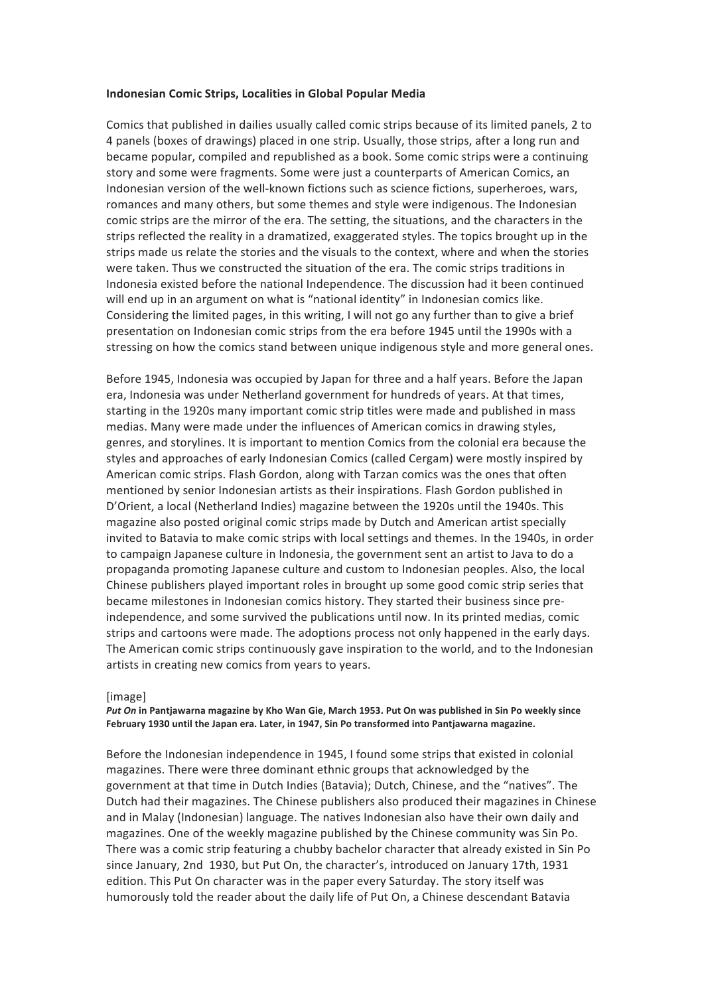# **Indonesian Comic Strips, Localities in Global Popular Media**

Comics that published in dailies usually called comic strips because of its limited panels, 2 to 4 panels (boxes of drawings) placed in one strip. Usually, those strips, after a long run and became popular, compiled and republished as a book. Some comic strips were a continuing story and some were fragments. Some were just a counterparts of American Comics, an Indonesian version of the well-known fictions such as science fictions, superheroes, wars, romances and many others, but some themes and style were indigenous. The Indonesian comic strips are the mirror of the era. The setting, the situations, and the characters in the strips reflected the reality in a dramatized, exaggerated styles. The topics brought up in the strips made us relate the stories and the visuals to the context, where and when the stories were taken. Thus we constructed the situation of the era. The comic strips traditions in Indonesia existed before the national Independence. The discussion had it been continued will end up in an argument on what is "national identity" in Indonesian comics like. Considering the limited pages, in this writing, I will not go any further than to give a brief presentation on Indonesian comic strips from the era before 1945 until the 1990s with a stressing on how the comics stand between unique indigenous style and more general ones.

Before 1945, Indonesia was occupied by Japan for three and a half years. Before the Japan era, Indonesia was under Netherland government for hundreds of years. At that times, starting in the 1920s many important comic strip titles were made and published in mass medias. Many were made under the influences of American comics in drawing styles, genres, and storylines. It is important to mention Comics from the colonial era because the styles and approaches of early Indonesian Comics (called Cergam) were mostly inspired by American comic strips. Flash Gordon, along with Tarzan comics was the ones that often mentioned by senior Indonesian artists as their inspirations. Flash Gordon published in D'Orient, a local (Netherland Indies) magazine between the 1920s until the 1940s. This magazine also posted original comic strips made by Dutch and American artist specially invited to Batavia to make comic strips with local settings and themes. In the 1940s, in order to campaign Japanese culture in Indonesia, the government sent an artist to Java to do a propaganda promoting Japanese culture and custom to Indonesian peoples. Also, the local Chinese publishers played important roles in brought up some good comic strip series that became milestones in Indonesian comics history. They started their business since preindependence, and some survived the publications until now. In its printed medias, comic strips and cartoons were made. The adoptions process not only happened in the early days. The American comic strips continuously gave inspiration to the world, and to the Indonesian artists in creating new comics from years to years.

## [image]

*Put On* **in Pantjawarna magazine by Kho Wan Gie, March 1953. Put On was published in Sin Po weekly since** February 1930 until the Japan era. Later, in 1947, Sin Po transformed into Pantjawarna magazine.

Before the Indonesian independence in 1945, I found some strips that existed in colonial magazines. There were three dominant ethnic groups that acknowledged by the government at that time in Dutch Indies (Batavia); Dutch, Chinese, and the "natives". The Dutch had their magazines. The Chinese publishers also produced their magazines in Chinese and in Malay (Indonesian) language. The natives Indonesian also have their own daily and magazines. One of the weekly magazine published by the Chinese community was Sin Po. There was a comic strip featuring a chubby bachelor character that already existed in Sin Po since January, 2nd 1930, but Put On, the character's, introduced on January 17th, 1931 edition. This Put On character was in the paper every Saturday. The story itself was humorously told the reader about the daily life of Put On, a Chinese descendant Batavia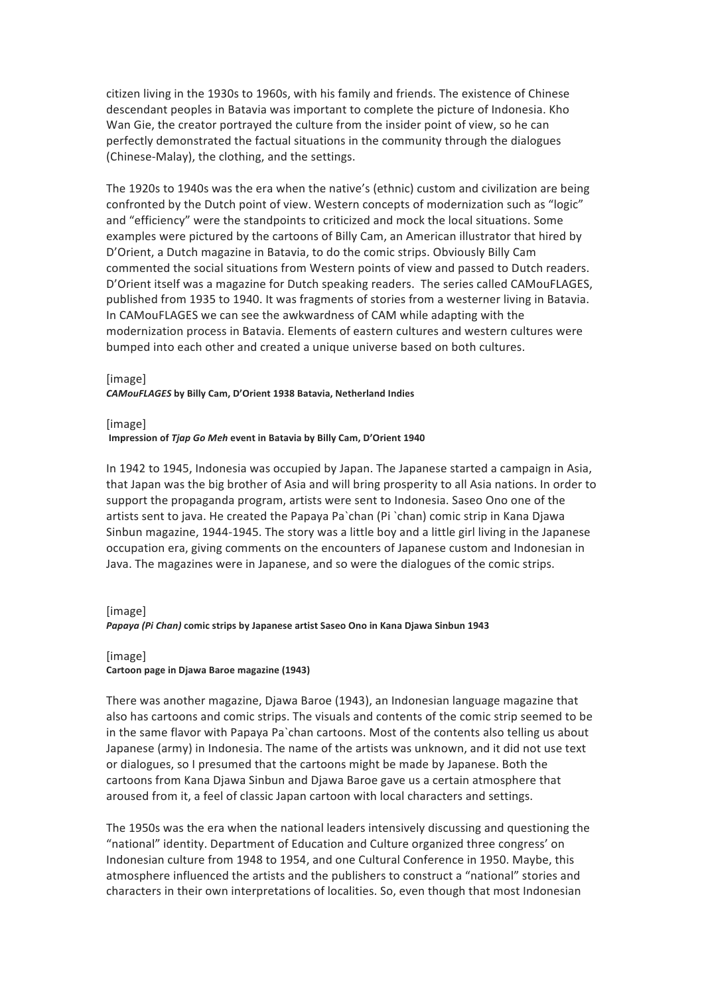citizen living in the 1930s to 1960s, with his family and friends. The existence of Chinese descendant peoples in Batavia was important to complete the picture of Indonesia. Kho Wan Gie, the creator portrayed the culture from the insider point of view, so he can perfectly demonstrated the factual situations in the community through the dialogues (Chinese-Malay), the clothing, and the settings.

The 1920s to 1940s was the era when the native's (ethnic) custom and civilization are being confronted by the Dutch point of view. Western concepts of modernization such as "logic" and "efficiency" were the standpoints to criticized and mock the local situations. Some examples were pictured by the cartoons of Billy Cam, an American illustrator that hired by D'Orient, a Dutch magazine in Batavia, to do the comic strips. Obviously Billy Cam commented the social situations from Western points of view and passed to Dutch readers. D'Orient itself was a magazine for Dutch speaking readers. The series called CAMouFLAGES, published from 1935 to 1940. It was fragments of stories from a westerner living in Batavia. In CAMouFLAGES we can see the awkwardness of CAM while adapting with the modernization process in Batavia. Elements of eastern cultures and western cultures were bumped into each other and created a unique universe based on both cultures.

# [image] **CAMouFLAGES** by Billy Cam, D'Orient 1938 Batavia, Netherland Indies

[image]

# **Impression of** *Tiap Go Meh* **event in Batavia by Billy Cam, D'Orient 1940**

In 1942 to 1945, Indonesia was occupied by Japan. The Japanese started a campaign in Asia, that Japan was the big brother of Asia and will bring prosperity to all Asia nations. In order to support the propaganda program, artists were sent to Indonesia. Saseo Ono one of the artists sent to java. He created the Papaya Pa`chan (Pi `chan) comic strip in Kana Djawa Sinbun magazine, 1944-1945. The story was a little boy and a little girl living in the Japanese occupation era, giving comments on the encounters of Japanese custom and Indonesian in Java. The magazines were in Japanese, and so were the dialogues of the comic strips.

# [image] *Papaya* (Pi Chan) comic strips by Japanese artist Saseo Ono in Kana Djawa Sinbun 1943

# [image] Cartoon page in Djawa Baroe magazine (1943)

There was another magazine, Djawa Baroe (1943), an Indonesian language magazine that also has cartoons and comic strips. The visuals and contents of the comic strip seemed to be in the same flavor with Papaya Pa`chan cartoons. Most of the contents also telling us about Japanese (army) in Indonesia. The name of the artists was unknown, and it did not use text or dialogues, so I presumed that the cartoons might be made by Japanese. Both the cartoons from Kana Djawa Sinbun and Djawa Baroe gave us a certain atmosphere that aroused from it, a feel of classic Japan cartoon with local characters and settings.

The 1950s was the era when the national leaders intensively discussing and questioning the "national" identity. Department of Education and Culture organized three congress' on Indonesian culture from 1948 to 1954, and one Cultural Conference in 1950. Maybe, this atmosphere influenced the artists and the publishers to construct a "national" stories and characters in their own interpretations of localities. So, even though that most Indonesian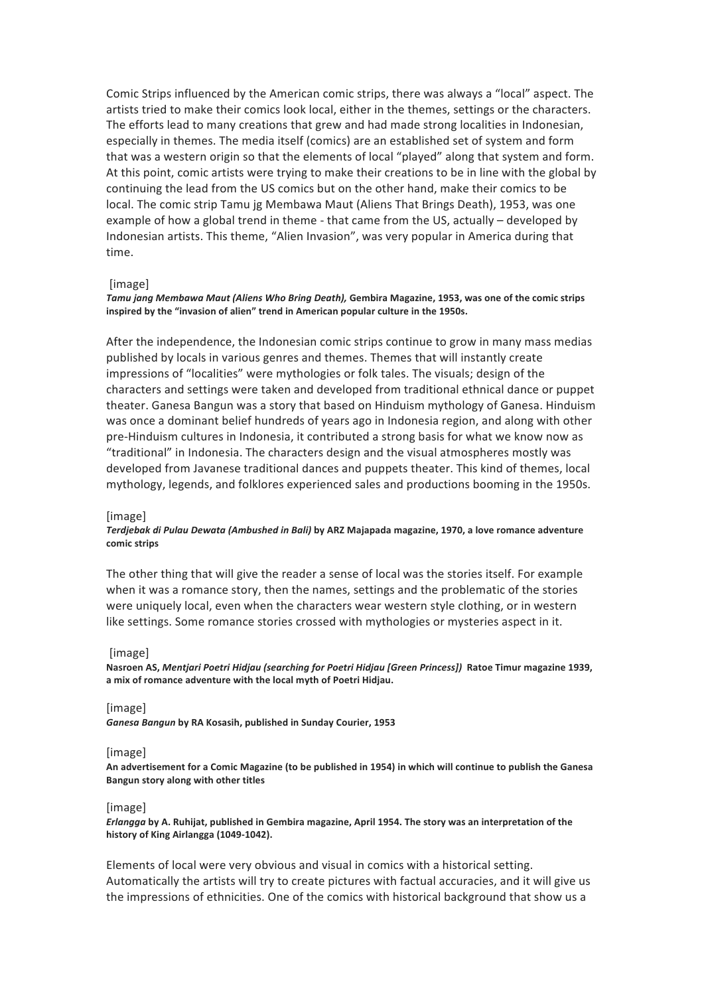Comic Strips influenced by the American comic strips, there was always a "local" aspect. The artists tried to make their comics look local, either in the themes, settings or the characters. The efforts lead to many creations that grew and had made strong localities in Indonesian, especially in themes. The media itself (comics) are an established set of system and form that was a western origin so that the elements of local "played" along that system and form. At this point, comic artists were trying to make their creations to be in line with the global by continuing the lead from the US comics but on the other hand, make their comics to be local. The comic strip Tamu jg Membawa Maut (Aliens That Brings Death), 1953, was one example of how a global trend in theme - that came from the US, actually – developed by Indonesian artists. This theme, "Alien Invasion", was very popular in America during that time. 

# [image]

# Tamu jang Membawa Maut (Aliens Who Bring Death), Gembira Magazine, 1953, was one of the comic strips inspired by the "invasion of alien" trend in American popular culture in the 1950s.

After the independence, the Indonesian comic strips continue to grow in many mass medias published by locals in various genres and themes. Themes that will instantly create impressions of "localities" were mythologies or folk tales. The visuals; design of the characters and settings were taken and developed from traditional ethnical dance or puppet theater. Ganesa Bangun was a story that based on Hinduism mythology of Ganesa. Hinduism was once a dominant belief hundreds of years ago in Indonesia region, and along with other pre-Hinduism cultures in Indonesia, it contributed a strong basis for what we know now as "traditional" in Indonesia. The characters design and the visual atmospheres mostly was developed from Javanese traditional dances and puppets theater. This kind of themes, local mythology, legends, and folklores experienced sales and productions booming in the 1950s.

## [image]

# *Terdjebak di Pulau Dewata (Ambushed in Bali)* by ARZ Majapada magazine, 1970, a love romance adventure **comic strips**

The other thing that will give the reader a sense of local was the stories itself. For example when it was a romance story, then the names, settings and the problematic of the stories were uniquely local, even when the characters wear western style clothing, or in western like settings. Some romance stories crossed with mythologies or mysteries aspect in it.

## [image]

Nasroen AS, *Mentjari Poetri Hidjau (searching for Poetri Hidjau [Green Princess])* Ratoe Timur magazine 1939, a mix of romance adventure with the local myth of Poetri Hidjau.

## [image]

Ganesa Bangun by RA Kosasih, published in Sunday Courier, 1953

## [image]

An advertisement for a Comic Magazine (to be published in 1954) in which will continue to publish the Ganesa **Bangun story along with other titles** 

# [image]

*Erlangga* by A. Ruhijat, published in Gembira magazine, April 1954. The story was an interpretation of the history of King Airlangga (1049-1042).

Elements of local were very obvious and visual in comics with a historical setting. Automatically the artists will try to create pictures with factual accuracies, and it will give us the impressions of ethnicities. One of the comics with historical background that show us a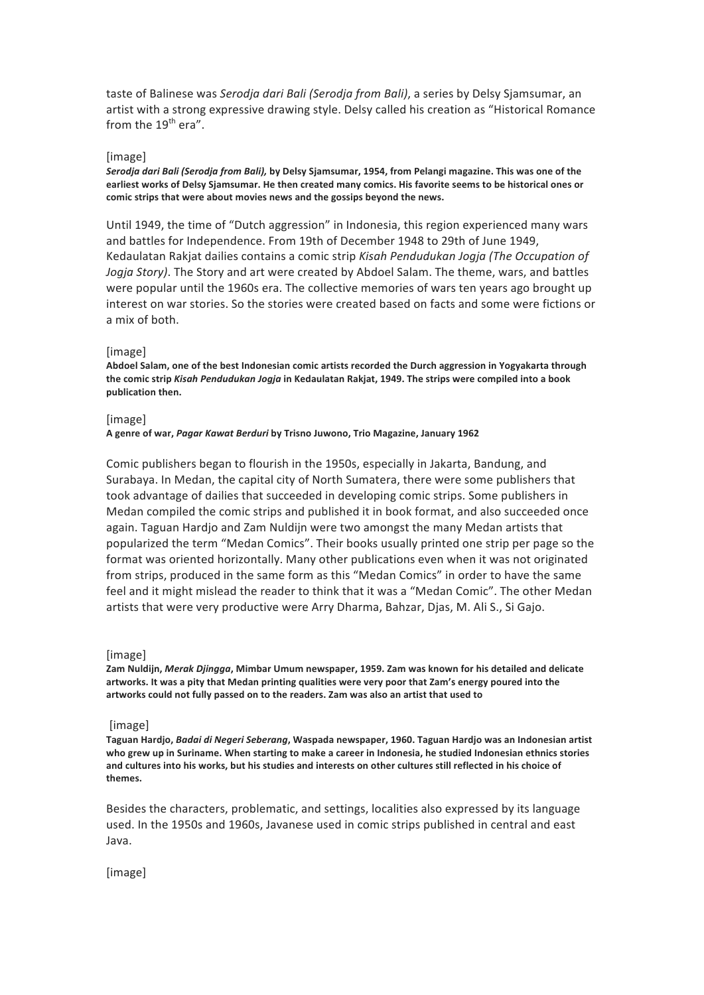taste of Balinese was *Serodja dari Bali (Serodja from Bali)*, a series by Delsy Sjamsumar, an artist with a strong expressive drawing style. Delsy called his creation as "Historical Romance from the  $19^{th}$  era".

# [image]

*Serodja dari Bali (Serodja from Bali),* by Delsy Sjamsumar, 1954, from Pelangi magazine. This was one of the earliest works of Delsy Sjamsumar. He then created many comics. His favorite seems to be historical ones or comic strips that were about movies news and the gossips beyond the news.

Until 1949, the time of "Dutch aggression" in Indonesia, this region experienced many wars and battles for Independence. From 19th of December 1948 to 29th of June 1949. Kedaulatan Rakjat dailies contains a comic strip *Kisah Pendudukan Jogja (The Occupation of Jogja Story*). The Story and art were created by Abdoel Salam. The theme, wars, and battles were popular until the 1960s era. The collective memories of wars ten years ago brought up interest on war stories. So the stories were created based on facts and some were fictions or a mix of both.

# [image]

Abdoel Salam, one of the best Indonesian comic artists recorded the Durch aggression in Yogyakarta through the comic strip *Kisah Pendudukan Jogja* in Kedaulatan Rakjat, 1949. The strips were compiled into a book **publication then.**

## [image]

**A genre of war,** *Pagar Kawat Berduri* **by Trisno Juwono, Trio Magazine, January 1962**

Comic publishers began to flourish in the 1950s, especially in Jakarta, Bandung, and Surabaya. In Medan, the capital city of North Sumatera, there were some publishers that took advantage of dailies that succeeded in developing comic strips. Some publishers in Medan compiled the comic strips and published it in book format, and also succeeded once again. Taguan Hardjo and Zam Nuldijn were two amongst the many Medan artists that popularized the term "Medan Comics". Their books usually printed one strip per page so the format was oriented horizontally. Many other publications even when it was not originated from strips, produced in the same form as this "Medan Comics" in order to have the same feel and it might mislead the reader to think that it was a "Medan Comic". The other Medan artists that were very productive were Arry Dharma, Bahzar, Djas, M. Ali S., Si Gajo.

## [image]

Zam Nuldijn, *Merak Djingga*, Mimbar Umum newspaper, 1959. Zam was known for his detailed and delicate artworks. It was a pity that Medan printing qualities were very poor that Zam's energy poured into the artworks could not fully passed on to the readers. Zam was also an artist that used to

## [image]

Taguan Hardjo, *Badai di Negeri Seberang*, Waspada newspaper, 1960. Taguan Hardjo was an Indonesian artist who grew up in Suriname. When starting to make a career in Indonesia, he studied Indonesian ethnics stories and cultures into his works, but his studies and interests on other cultures still reflected in his choice of **themes.**

Besides the characters, problematic, and settings, localities also expressed by its language used. In the 1950s and 1960s, Javanese used in comic strips published in central and east Java. 

[image]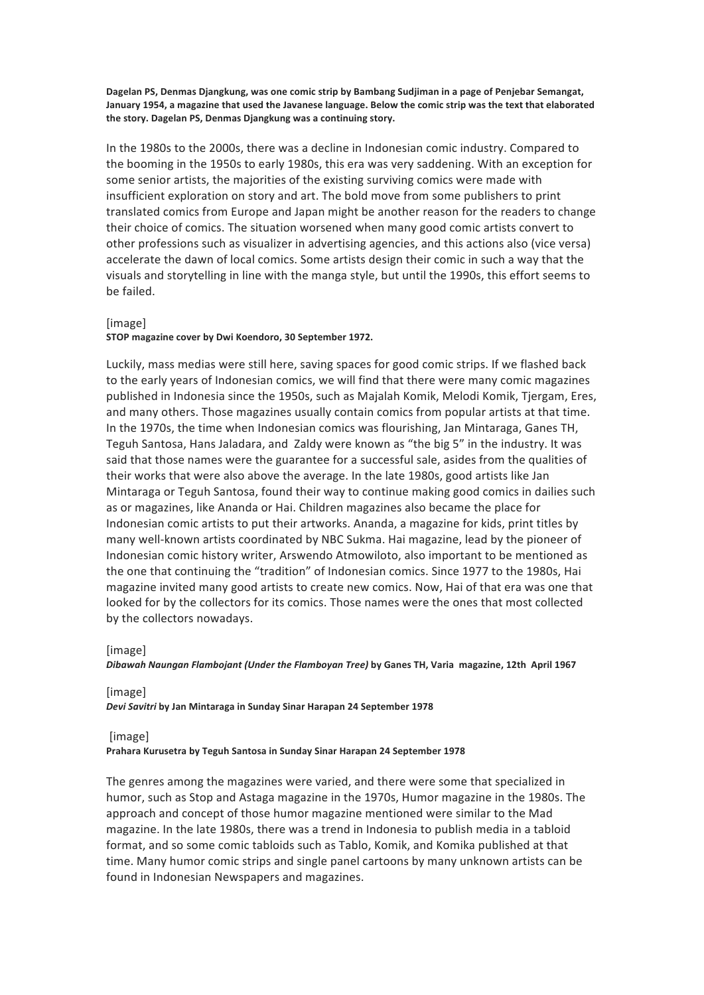Dagelan PS, Denmas Djangkung, was one comic strip by Bambang Sudjiman in a page of Penjebar Semangat, January 1954, a magazine that used the Javanese language. Below the comic strip was the text that elaborated the story. Dagelan PS, Denmas Djangkung was a continuing story.

In the 1980s to the 2000s, there was a decline in Indonesian comic industry. Compared to the booming in the 1950s to early 1980s, this era was very saddening. With an exception for some senior artists, the majorities of the existing surviving comics were made with insufficient exploration on story and art. The bold move from some publishers to print translated comics from Europe and Japan might be another reason for the readers to change their choice of comics. The situation worsened when many good comic artists convert to other professions such as visualizer in advertising agencies, and this actions also (vice versa) accelerate the dawn of local comics. Some artists design their comic in such a way that the visuals and storytelling in line with the manga style, but until the 1990s, this effort seems to be failed.

# [image]

# STOP magazine cover by Dwi Koendoro, 30 September 1972.

Luckily, mass medias were still here, saving spaces for good comic strips. If we flashed back to the early years of Indonesian comics, we will find that there were many comic magazines published in Indonesia since the 1950s, such as Majalah Komik, Melodi Komik, Tjergam, Eres, and many others. Those magazines usually contain comics from popular artists at that time. In the 1970s, the time when Indonesian comics was flourishing, Jan Mintaraga, Ganes TH, Teguh Santosa, Hans Jaladara, and Zaldy were known as "the big 5" in the industry. It was said that those names were the guarantee for a successful sale, asides from the qualities of their works that were also above the average. In the late 1980s, good artists like Jan Mintaraga or Teguh Santosa, found their way to continue making good comics in dailies such as or magazines, like Ananda or Hai. Children magazines also became the place for Indonesian comic artists to put their artworks. Ananda, a magazine for kids, print titles by many well-known artists coordinated by NBC Sukma. Hai magazine, lead by the pioneer of Indonesian comic history writer, Arswendo Atmowiloto, also important to be mentioned as the one that continuing the "tradition" of Indonesian comics. Since 1977 to the 1980s, Hai magazine invited many good artists to create new comics. Now, Hai of that era was one that looked for by the collectors for its comics. Those names were the ones that most collected by the collectors nowadays.

# [image]

*Dibawah Naungan Flambojant (Under the Flamboyan Tree)* **by Ganes TH, Varia magazine, 12th April 1967**

[image] *Devi Savitri* **by Jan Mintaraga in Sunday Sinar Harapan 24 September 1978**

## [image]

Prahara Kurusetra by Teguh Santosa in Sunday Sinar Harapan 24 September 1978

The genres among the magazines were varied, and there were some that specialized in humor, such as Stop and Astaga magazine in the 1970s, Humor magazine in the 1980s. The approach and concept of those humor magazine mentioned were similar to the Mad magazine. In the late 1980s, there was a trend in Indonesia to publish media in a tabloid format, and so some comic tabloids such as Tablo, Komik, and Komika published at that time. Many humor comic strips and single panel cartoons by many unknown artists can be found in Indonesian Newspapers and magazines.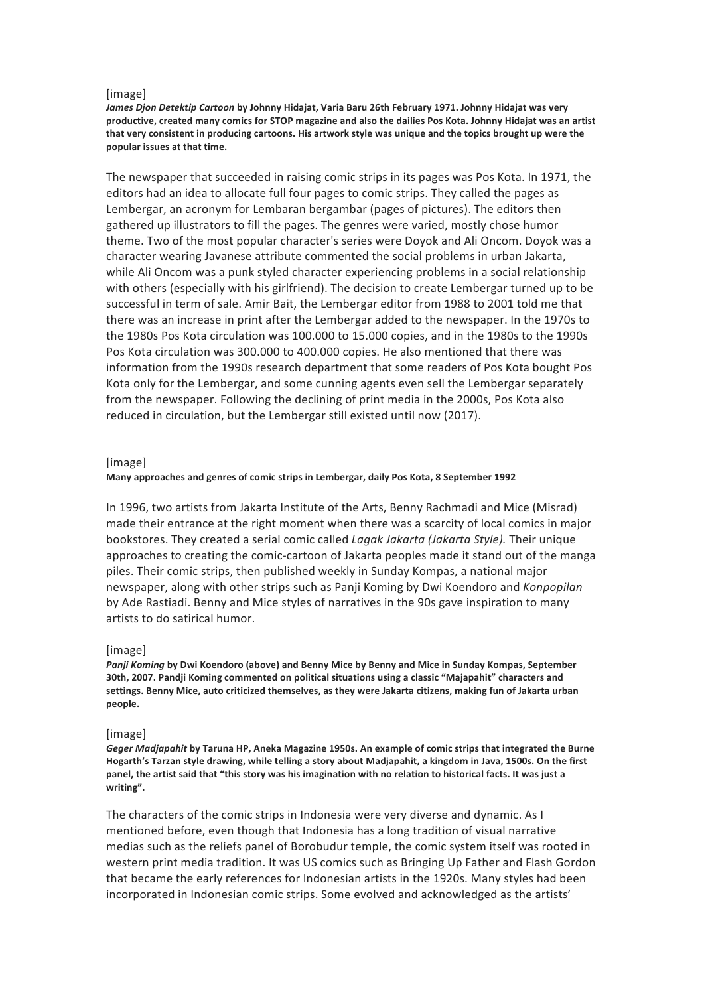## [image]

James Djon Detektip Cartoon by Johnny Hidajat, Varia Baru 26th February 1971. Johnny Hidajat was very productive, created many comics for STOP magazine and also the dailies Pos Kota. Johnny Hidajat was an artist that very consistent in producing cartoons. His artwork style was unique and the topics brought up were the **popular issues at that time.**

The newspaper that succeeded in raising comic strips in its pages was Pos Kota. In 1971, the editors had an idea to allocate full four pages to comic strips. They called the pages as Lembergar, an acronym for Lembaran bergambar (pages of pictures). The editors then gathered up illustrators to fill the pages. The genres were varied, mostly chose humor theme. Two of the most popular character's series were Doyok and Ali Oncom. Doyok was a character wearing Javanese attribute commented the social problems in urban Jakarta, while Ali Oncom was a punk styled character experiencing problems in a social relationship with others (especially with his girlfriend). The decision to create Lembergar turned up to be successful in term of sale. Amir Bait, the Lembergar editor from 1988 to 2001 told me that there was an increase in print after the Lembergar added to the newspaper. In the 1970s to the 1980s Pos Kota circulation was 100.000 to 15.000 copies, and in the 1980s to the 1990s Pos Kota circulation was 300.000 to 400.000 copies. He also mentioned that there was information from the 1990s research department that some readers of Pos Kota bought Pos Kota only for the Lembergar, and some cunning agents even sell the Lembergar separately from the newspaper. Following the declining of print media in the 2000s, Pos Kota also reduced in circulation, but the Lembergar still existed until now (2017).

## [image]

# Many approaches and genres of comic strips in Lembergar, daily Pos Kota, 8 September 1992

In 1996, two artists from Jakarta Institute of the Arts, Benny Rachmadi and Mice (Misrad) made their entrance at the right moment when there was a scarcity of local comics in major bookstores. They created a serial comic called *Lagak Jakarta (Jakarta Style)*. Their unique approaches to creating the comic-cartoon of Jakarta peoples made it stand out of the manga piles. Their comic strips, then published weekly in Sunday Kompas, a national major newspaper, along with other strips such as Panji Koming by Dwi Koendoro and *Konpopilan* by Ade Rastiadi. Benny and Mice styles of narratives in the 90s gave inspiration to many artists to do satirical humor.

## [image]

Panji Koming by Dwi Koendoro (above) and Benny Mice by Benny and Mice in Sunday Kompas, September 30th, 2007. Pandji Koming commented on political situations using a classic "Majapahit" characters and settings. Benny Mice, auto criticized themselves, as they were Jakarta citizens, making fun of Jakarta urban **people.** 

## [image]

Geger Madjapahit by Taruna HP, Aneka Magazine 1950s. An example of comic strips that integrated the Burne Hogarth's Tarzan style drawing, while telling a story about Madjapahit, a kingdom in Java, 1500s. On the first panel, the artist said that "this story was his imagination with no relation to historical facts. It was just a **writing".**

The characters of the comic strips in Indonesia were very diverse and dynamic. As I mentioned before, even though that Indonesia has a long tradition of visual narrative medias such as the reliefs panel of Borobudur temple, the comic system itself was rooted in western print media tradition. It was US comics such as Bringing Up Father and Flash Gordon that became the early references for Indonesian artists in the 1920s. Many styles had been incorporated in Indonesian comic strips. Some evolved and acknowledged as the artists'